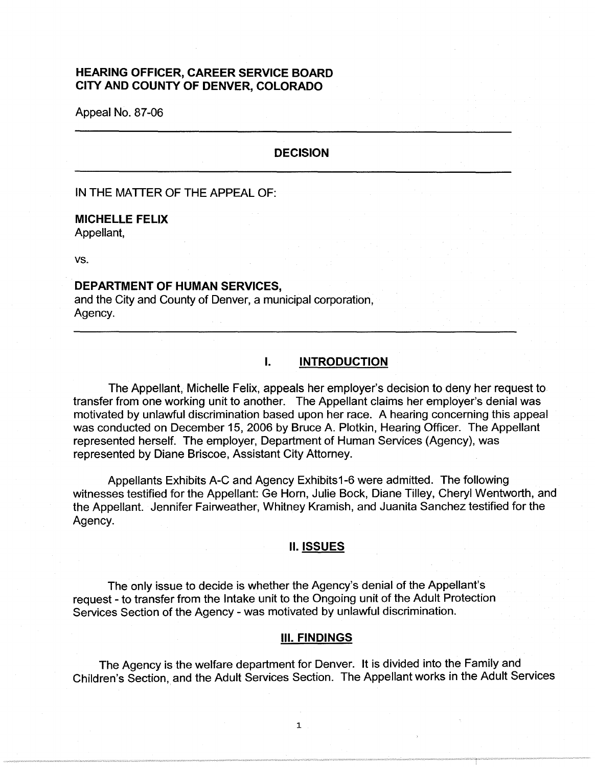# **HEARING OFFICER, CAREER SERVICE BOARD CITY AND COUNTY OF DENVER, COLORADO**

Appeal No. 87-06

## **DECISION**

IN THE MATTER OF THE APPEAL OF:

#### **MICHELLE FELIX**

Appellant,

vs.

# **DEPARTMENT OF HUMAN SERVICES,**

and the City and County of Denver, a municipal corporation, Agency.

# I. **INTRODUCTION**

The Appellant, Michelle Felix, appeals her employer's decision to deny her request to transfer from one working unit to another. The Appellant claims her employer's denial was motivated by unlawful discrimination based upon her race. A hearing concerning this appeal was conducted on December 15, 2006 by Bruce A. Plotkin, Hearing Officer. The Appellant represented herself. The employer, Department of Human Services (Agency), was represented by Diane Briscoe, Assistant City Attorney.

Appellants Exhibits A-C and Agency Exhibits1-6 were admitted. The following witnesses testified for the Appellant: Ge Horn, Julie Bock, Diane Tilley, Cheryl Wentworth, and the Appellant. Jennifer Fairweather, Whitney Kramish, and Juanita Sanchez testified for the Agency.

# II. **ISSUES**

The only issue to decide is whether the Agency's denial of the Appellant's request - to transfer from the Intake unit to the Ongoing unit of the Adult Protection Services Section of the Agency - was motivated by unlawful discrimination.

#### Ill. **FINDINGS**

The Agency is the welfare department for Denver. It is divided into the Family and Children's Section, and the Adult Services Section. The Appellant works in the Adult Services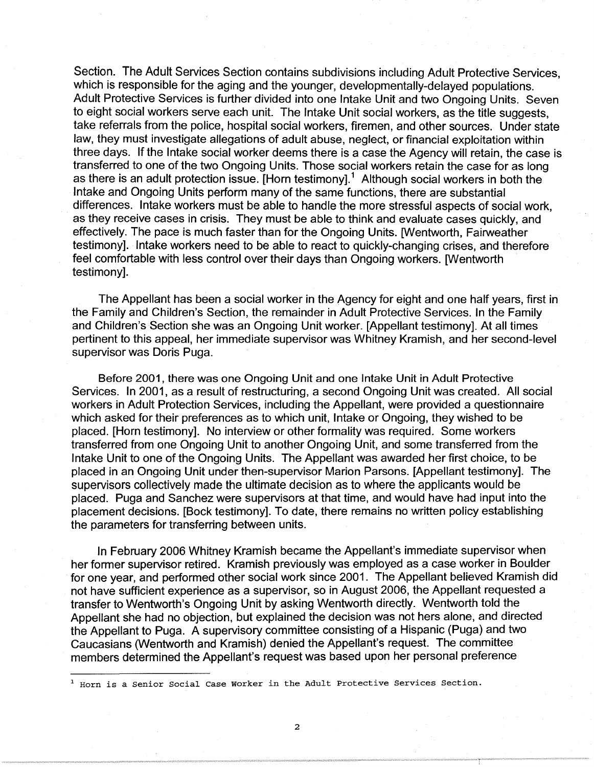Section. The Adult Services Section contains subdivisions including Adult Protective Services, which is responsible for the aging and the younger, developmentally-delayed populations. Adult Protective Services is further divided into one Intake Unit and two Ongoing Units. Seven to eight social workers serve each unit. The Intake Unit social workers, as the title suggests, take referrals from the police, hospital social workers, firemen, and other sources. Under state law, they must investigate allegations of adult abuse, neglect, or financial exploitation within three days. If the Intake social worker deems there is a case the Agency will retain, the case is transferred to one of the two Ongoing Units. Those social workers retain the case for as long as there is an adult protection issue. [Horn testimony].<sup>1</sup> Although social workers in both the Intake and Ongoing Units perform many of the same functions, there are substantial differences. Intake workers must be able to handle the more stressful aspects of social work, as they receive cases in crisis. They must be able to think and evaluate cases quickly, and effectively. The pace is much faster than for the Ongoing Units. [Wentworth, Fairweather testimony]. Intake workers need to be able to react to quickly-changing crises, and therefore feel comfortable with less control over their days than Ongoing workers. [Wentworth testimony].

The Appellant has been a social worker in the Agency for eight and one half years, first in the Family and Children's Section, the remainder in Adult Protective Services. In the Family and Children's Section she was an Ongoing Unit worker. [Appellant testimony]. At all times pertinent to this appeal, her immediate supervisor was Whitney Kramish, and her second-level supervisor was Doris Puga.

Before 2001, there was one Ongoing Unit and one Intake Unit in Adult Protective Services. In 2001, as a result of restructuring, a second Ongoing Unit was created. All social workers in Adult Protection Services, including the Appellant, were provided a questionnaire which asked for their preferences as to which unit, Intake or Ongoing, they wished to be placed. [Horn testimony]. No interview or other formality was required. Some workers transferred from one Ongoing Unit to another Ongoing Unit, and some transferred from the Intake Unit to one of the Ongoing Units. The Appellant was awarded her first choice, to be placed in an Ongoing Unit under then-supervisor Marion Parsons. [Appellant testimony]. The supervisors collectively made the ultimate decision as to where the applicants would be placed. Puga and Sanchez were supervisors at that time, and would have had input into the placement decisions. [Bock testimony]. To date, there remains no written policy establishing the parameters for transferring between units.

In February 2006 Whitney Kramish became the Appellant's immediate supervisor when her former supervisor retired. Kramish previously was employed as a case worker in Boulder for one year, and performed other social work since 2001. The Appellant believed Kramish did not have sufficient experience as a supervisor, so in August 2006, the Appellant requested a transfer to Wentworth's Ongoing Unit by asking Wentworth directly. Wentworth told the Appellant she had no objection, but explained the decision was not hers alone, and directed the Appellant to Puga. A supervisory committee consisting of a Hispanic (Puga) and two Caucasians (Wentworth and Kramish) denied the Appellant's request. The committee members determined the Appellant's request was based upon her personal preference

<sup>&</sup>lt;sup>1</sup> Horn is a Senior Social Case Worker in the Adult Protective Services Section.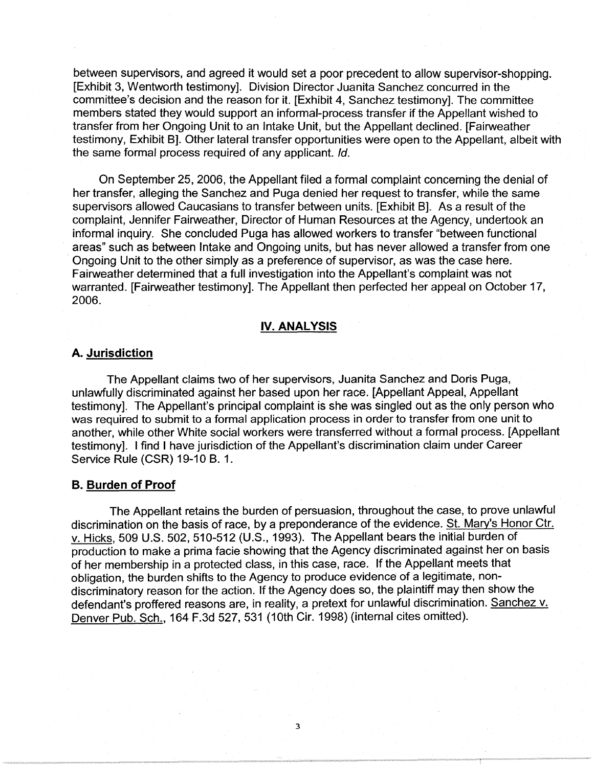between supervisors, and agreed it would set a poor precedent to allow supervisor-shopping. [Exhibit 3, Wentworth testimony]. Division Director Juanita Sanchez concurred in the committee's decision and the reason for it. [Exhibit 4, Sanchez testimony]. The committee members stated they would support an informal-process transfer if the Appellant wished to transfer from her Ongoing Unit to an Intake Unit, but the Appellant declined. [Fairweather testimony, Exhibit B]. Other lateral transfer opportunities were open to the Appellant, albeit with the same formal process required of any applicant. Id.

On September 25, 2006, the Appellant filed a formal complaint concerning the denial of her transfer, alleging the Sanchez and Puga denied her request to transfer, while the same supervisors allowed Caucasians to transfer between units. [Exhibit B]. As a result of the complaint, Jennifer Fairweather, Director of Human Resources at the Agency, undertook an informal inquiry. She concluded Puga has allowed workers to transfer "between functional areas" such as between Intake and Ongoing units, but has never allowed a transfer from one Ongoing Unit to the other simply as a preference of supervisor, as was the case here. Fairweather determined that a full investigation into the Appellant's complaint was not warranted. [Fairweather testimony]. The Appellant then perfected her appeal on October 17, 2006.

#### **IV. ANALYSIS**

# **A. Jurisdiction**

The Appellant claims two of her supervisors, Juanita Sanchez and Doris Puga, unlawfully discriminated against her based upon her race. [Appellant Appeal, Appellant testimony]. The Appellant's principal complaint is she was singled out as the only person who was required to submit to a formal application process in order to transfer from one unit to another, while other White social workers were transferred without a formal process. [Appellant testimony]. I find I have jurisdiction of the Appellant's discrimination claim under Career Service Rule (CSR) 19-10 B. 1.

#### **B. Burden of Proof**

The Appellant retains the burden of persuasion, throughout the case, to prove unlawful discrimination on the basis of race, by a preponderance of the evidence. St. Mary's Honor Ctr. v. Hicks, 509 U.S. 502, 510-512 (U.S., 1993). The Appellant bears the initial burden of production to make a prima facie showing that the Agency discriminated against her on basis of her membership in a protected class, in this case, race. If the Appellant meets that obligation, the burden shifts to the Agency to produce evidence of a legitimate, nondiscriminatory reason for the action. If the Agency does so, the plaintiff may then show the defendant's proffered reasons are, in reality, a pretext for unlawful discrimination. Sanchez v. Denver Pub. Sch., 164 F.3d 527, 531 (10th Cir. 1998) (internal cites omitted).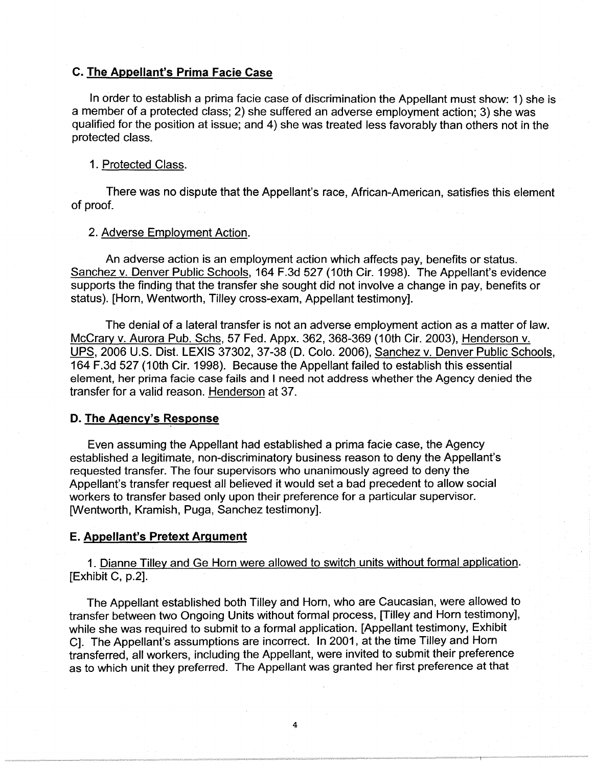# **C. The Appellant's Prima Facie Case**

In order to establish a prima facie case of discrimination the Appellant must show: 1) she is a member of a protected class; 2) she suffered an adverse employment action; 3) she was qualified for the position at issue; and 4) she was treated less favorably than others not in the protected class.

#### 1 . Protected Class.

There was no dispute that the Appellant's race, African-American, satisfies this element of proof.

## 2. Adverse Employment Action.

An adverse action is an employment action which affects pay, benefits or status. Sanchez v. Denver Public Schools, 164 F.3d 527 (10th Cir. 1998). The Appellant's evidence supports the finding that the transfer she sought did not involve a change in pay, benefits or status). [Horn, Wentworth, Tilley cross-exam, Appellant testimony].

The denial of a lateral transfer is not an adverse employment action as a matter of law. Mccrary v. Aurora Pub. Schs, 57 Fed. Appx. 362, 368-369 (10th Cir. 2003), Henderson v. UPS, 2006 U.S. Dist. LEXIS 37302, 37-38 (D. Colo. 2006), Sanchez v. Denver Public Schools, 164 F.3d 527 (10th Cir. 1998). Because the Appellant failed to establish this essential element, her prima facie case fails and I need not address whether the Agency denied the transfer for a valid reason. Henderson at 37.

# **D. The Agency's Response**

Even assuming the Appellant had established a prima facie case, the Agency established a legitimate, non-discriminatory business reason to deny the Appellant's requested transfer. The four supervisors who unanimously agreed to deny the Appellant's transfer request all believed it would set a bad precedent to allow social workers to transfer based only upon their preference for a particular supervisor. [Wentworth, Kramish, Puga, Sanchez testimony].

#### **E. Appellant's Pretext Argument**

1. Dianne Tilley and Ge Horn were allowed to switch units without formal application. [Exhibit C, p.2].

The Appellant established both Tilley and Horn, who are Caucasian, were allowed to transfer between two Ongoing Units without formal process, [Tilley and Horn testimony], while she was required to submit to a formal application. [Appellant testimony, Exhibit C]. The Appellant's assumptions are incorrect. In 2001, at the time Tilley and Horn transferred, all workers, including the Appellant, were invited to submit their preference as to which unit they preferred. The Appellant was granted her first preference at that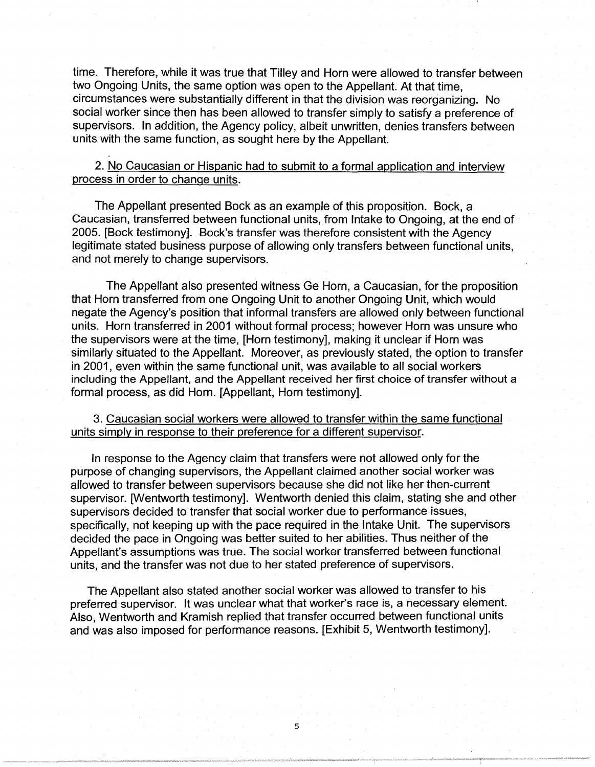time. Therefore, while it was true that Tilley and Horn were allowed to transfer between two Ongoing Units, the same option was open to the Appellant. At that time, circumstances were substantially different in that the division was reorganizing. No social worker since then has been allowed to transfer simply to satisfy a preference of supervisors. In addition, the Agency policy, albeit unwritten, denies transfers between units with the same function, as sought here by the Appellant.

2. No Caucasian or Hispanic had to submit to a formal application and interview process in order to change units.

The Appellant presented Bock as an example of this proposition. Bock, a Caucasian, transferred between functional units, from Intake to Ongoing, at the end of 2005. [Bock testimony]. Back's transfer was therefore consistent with the Agency legitimate stated business purpose of allowing only transfers between functional units, and not merely to change supervisors.

The Appellant also presented witness Ge Horn, a Caucasian, for the proposition that Horn transferred from one Ongoing Unit to another Ongoing Unit, which would negate the Agency's position that informal transfers are allowed only between functional units. Horn transferred in 2001 without formal process; however Horn was unsure who the supervisors were at the time, [Horn testimony], making it unclear if Horn was similarly situated to the Appellant. Moreover, as previously stated, the option to transfer in 2001, even within the same functional unit, was available to all social workers including the Appellant, and the Appellant received her first choice of transfer without a formal process, as did Horn. [Appellant, Horn testimony].

3. Caucasian social workers were allowed to transfer within the same functional units simply in response to their preference for a different supervisor.

In response to the Agency claim that transfers were not allowed only for the purpose of changing supervisors, the Appellant claimed another social worker was allowed to transfer between supervisors because she did not like her then-current supervisor. [Wentworth testimony]. Wentworth denied this claim, stating she and other supervisors decided to transfer that social worker due to performance issues, specifically, not keeping up with the pace required in the Intake Unit. The supervisors decided the pace in Ongoing was better suited to her abilities. Thus neither of the Appellant's assumptions was true. The social worker transferred between functional units, and the transfer was not due to her stated preference of supervisors.

The Appellant also stated another social worker was allowed to transfer to his preferred supervisor. It was unclear what that worker's race is, a necessary element. Also, Wentworth and Kramish replied that transfer occurred between functional units and was also imposed for performance reasons. [Exhibit 5, Wentworth testimony].